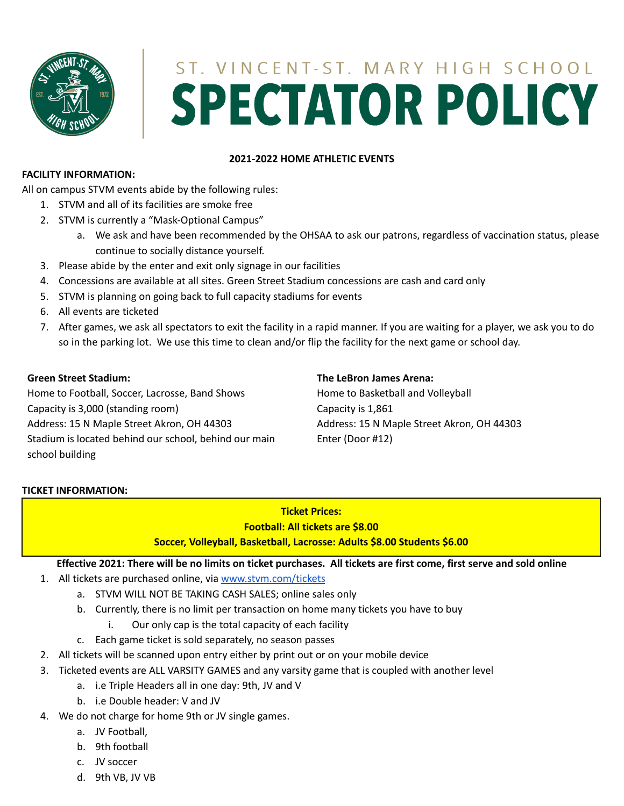

# ST. VINCENT-ST. MARY HIGH SCHOOL **SPECTATOR POLICY**

## **2021-2022 HOME ATHLETIC EVENTS**

### **FACILITY INFORMATION:**

All on campus STVM events abide by the following rules:

- 1. STVM and all of its facilities are smoke free
- 2. STVM is currently a "Mask-Optional Campus"
	- a. We ask and have been recommended by the OHSAA to ask our patrons, regardless of vaccination status, please continue to socially distance yourself.
- 3. Please abide by the enter and exit only signage in our facilities
- 4. Concessions are available at all sites. Green Street Stadium concessions are cash and card only
- 5. STVM is planning on going back to full capacity stadiums for events
- 6. All events are ticketed
- 7. After games, we ask all spectators to exit the facility in a rapid manner. If you are waiting for a player, we ask you to do so in the parking lot. We use this time to clean and/or flip the facility for the next game or school day.

## **Green Street Stadium:**

Home to Football, Soccer, Lacrosse, Band Shows Capacity is 3,000 (standing room) Address: 15 N Maple Street Akron, OH 44303 Stadium is located behind our school, behind our main school building

## **The LeBron James Arena:**

Home to Basketball and Volleyball Capacity is 1,861 Address: 15 N Maple Street Akron, OH 44303 Enter (Door #12)

## **TICKET INFORMATION:**

## **Ticket Prices: Football: All tickets are \$8.00 Soccer, Volleyball, Basketball, Lacrosse: Adults \$8.00 Students \$6.00**

## Effective 2021: There will be no limits on ticket purchases. All tickets are first come, first serve and sold online

- 1. All tickets are purchased online, via [www.stvm.com/tickets](http://www.stvm.com/tickets)
	- a. STVM WILL NOT BE TAKING CASH SALES; online sales only
	- b. Currently, there is no limit per transaction on home many tickets you have to buy
		- i. Our only cap is the total capacity of each facility
	- c. Each game ticket is sold separately, no season passes
- 2. All tickets will be scanned upon entry either by print out or on your mobile device
- 3. Ticketed events are ALL VARSITY GAMES and any varsity game that is coupled with another level
	- a. i.e Triple Headers all in one day: 9th, JV and V
	- b. i.e Double header: V and JV
- 4. We do not charge for home 9th or JV single games.
	- a. JV Football,
	- b. 9th football
	- c. JV soccer
	- d. 9th VB, JV VB